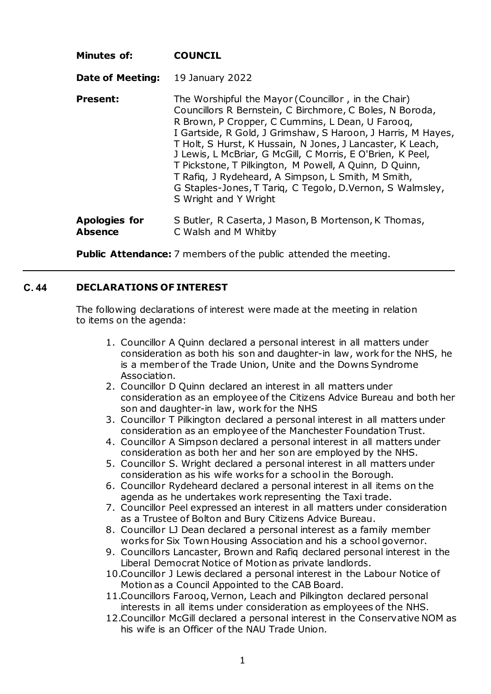| Minutes of:                     | <b>COUNCIL</b>                                                                                                                                                                                                                                                                                                                                                                                                                                                                                                                                                        |
|---------------------------------|-----------------------------------------------------------------------------------------------------------------------------------------------------------------------------------------------------------------------------------------------------------------------------------------------------------------------------------------------------------------------------------------------------------------------------------------------------------------------------------------------------------------------------------------------------------------------|
| Date of Meeting:                | 19 January 2022                                                                                                                                                                                                                                                                                                                                                                                                                                                                                                                                                       |
| Present:                        | The Worshipful the Mayor (Councillor, in the Chair)<br>Councillors R Bernstein, C Birchmore, C Boles, N Boroda,<br>R Brown, P Cropper, C Cummins, L Dean, U Faroog,<br>I Gartside, R Gold, J Grimshaw, S Haroon, J Harris, M Hayes,<br>T Holt, S Hurst, K Hussain, N Jones, J Lancaster, K Leach,<br>J Lewis, L McBriar, G McGill, C Morris, E O'Brien, K Peel,<br>T Pickstone, T Pilkington, M Powell, A Quinn, D Quinn,<br>T Rafig, J Rydeheard, A Simpson, L Smith, M Smith,<br>G Staples-Jones, T Tarig, C Tegolo, D.Vernon, S Walmsley,<br>S Wright and Y Wright |
| Apologies for<br><b>Absence</b> | S Butler, R Caserta, J Mason, B Mortenson, K Thomas,<br>C Walsh and M Whitby                                                                                                                                                                                                                                                                                                                                                                                                                                                                                          |

**Public Attendance:** 7 members of the public attended the meeting.

## **C. 44 DECLARATIONS OF INTEREST**

The following declarations of interest were made at the meeting in relation to items on the agenda:

- 1. Councillor A Quinn declared a personal interest in all matters under consideration as both his son and daughter-in law, work for the NHS, he is a member of the Trade Union, Unite and the Downs Syndrome Association.
- 2. Councillor D Quinn declared an interest in all matters under consideration as an employee of the Citizens Advice Bureau and both her son and daughter-in law, work for the NHS
- 3. Councillor T Pilkington declared a personal interest in all matters under consideration as an employee of the Manchester Foundation Trust.
- 4. Councillor A Simpson declared a personal interest in all matters under consideration as both her and her son are employed by the NHS.
- 5. Councillor S. Wright declared a personal interest in all matters under consideration as his wife works for a school in the Borough.
- 6. Councillor Rydeheard declared a personal interest in all items on the agenda as he undertakes work representing the Taxi trade.
- 7. Councillor Peel expressed an interest in all matters under consideration as a Trustee of Bolton and Bury Citizens Advice Bureau.
- 8. Councillor LJ Dean declared a personal interest as a family member works for Six Town Housing Association and his a school governor.
- 9. Councillors Lancaster, Brown and Rafiq declared personal interest in the Liberal Democrat Notice of Motion as private landlords.
- 10.Councillor J Lewis declared a personal interest in the Labour Notice of Motion as a Council Appointed to the CAB Board.
- 11.Councillors Farooq, Vernon, Leach and Pilkington declared personal interests in all items under consideration as employees of the NHS.
- 12.Councillor McGill declared a personal interest in the Conservative NOM as his wife is an Officer of the NAU Trade Union.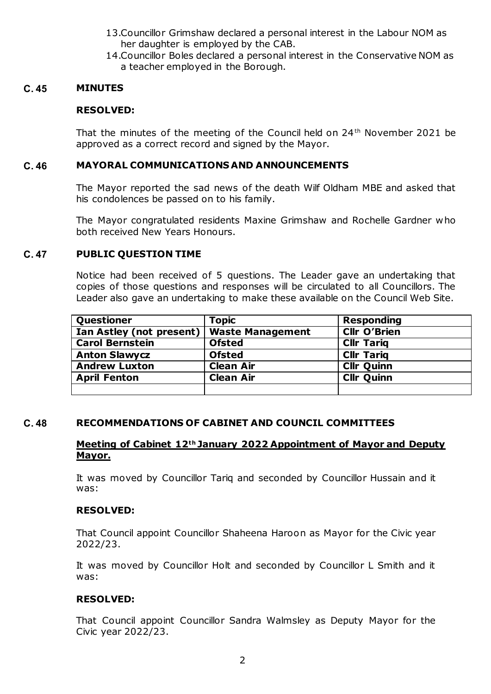- 13.Councillor Grimshaw declared a personal interest in the Labour NOM as her daughter is employed by the CAB.
- 14.Councillor Boles declared a personal interest in the Conservative NOM as a teacher employed in the Borough.

#### **C. 45 MINUTES**

## **RESOLVED:**

That the minutes of the meeting of the Council held on 24<sup>th</sup> November 2021 be approved as a correct record and signed by the Mayor.

## **C. 46 MAYORAL COMMUNICATIONS AND ANNOUNCEMENTS**

The Mayor reported the sad news of the death Wilf Oldham MBE and asked that his condolences be passed on to his family.

The Mayor congratulated residents Maxine Grimshaw and Rochelle Gardner who both received New Years Honours.

## **C. 47 PUBLIC QUESTION TIME**

Notice had been received of 5 questions. The Leader gave an undertaking that copies of those questions and responses will be circulated to all Councillors. The Leader also gave an undertaking to make these available on the Council Web Site.

| Questioner               | <b>Topic</b>            | <b>Responding</b>   |
|--------------------------|-------------------------|---------------------|
| Ian Astley (not present) | <b>Waste Management</b> | <b>Cllr O'Brien</b> |
| <b>Carol Bernstein</b>   | <b>Ofsted</b>           | <b>Cllr Tarig</b>   |
| <b>Anton Slawycz</b>     | <b>Ofsted</b>           | <b>Cllr Tarig</b>   |
| <b>Andrew Luxton</b>     | <b>Clean Air</b>        | <b>Cllr Quinn</b>   |
| <b>April Fenton</b>      | <b>Clean Air</b>        | <b>Cllr Quinn</b>   |
|                          |                         |                     |

# **C. 48 RECOMMENDATIONS OF CABINET AND COUNCIL COMMITTEES**

## **Meeting of Cabinet 12th January 2022 Appointment of Mayor and Deputy Mayor.**

It was moved by Councillor Tariq and seconded by Councillor Hussain and it was:

#### **RESOLVED:**

That Council appoint Councillor Shaheena Haroon as Mayor for the Civic year 2022/23.

It was moved by Councillor Holt and seconded by Councillor L Smith and it was:

# **RESOLVED:**

That Council appoint Councillor Sandra Walmsley as Deputy Mayor for the Civic year 2022/23.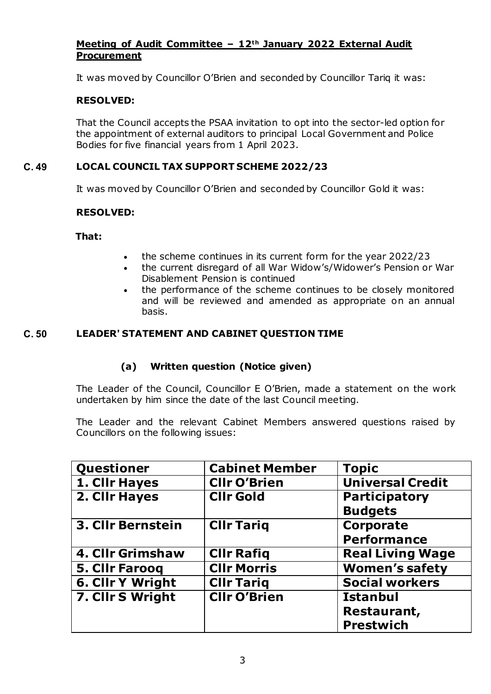# **Meeting of Audit Committee – 12th January 2022 External Audit Procurement**

It was moved by Councillor O'Brien and seconded by Councillor Tariq it was:

# **RESOLVED:**

That the Council accepts the PSAA invitation to opt into the sector-led option for the appointment of external auditors to principal Local Government and Police Bodies for five financial years from 1 April 2023.

# **C. 49 LOCAL COUNCIL TAX SUPPORT SCHEME 2022/23**

It was moved by Councillor O'Brien and seconded by Councillor Gold it was:

# **RESOLVED:**

**That:** 

- the scheme continues in its current form for the year 2022/23
- the current disregard of all War Widow's/Widower's Pension or War Disablement Pension is continued
- the performance of the scheme continues to be closely monitored and will be reviewed and amended as appropriate on an annual basis.

# **C. 50 LEADER' STATEMENT AND CABINET QUESTION TIME**

# **(a) Written question (Notice given)**

The Leader of the Council, Councillor E O'Brien, made a statement on the work undertaken by him since the date of the last Council meeting.

The Leader and the relevant Cabinet Members answered questions raised by Councillors on the following issues:

| Questioner              | <b>Cabinet Member</b> | <b>Topic</b>            |
|-------------------------|-----------------------|-------------------------|
| 1. Cllr Hayes           | <b>Cllr O'Brien</b>   | <b>Universal Credit</b> |
| 2. Cllr Hayes           | <b>CIIr Gold</b>      | <b>Participatory</b>    |
|                         |                       | <b>Budgets</b>          |
| 3. Cllr Bernstein       | <b>CIIr Tariq</b>     | Corporate               |
|                         |                       | <b>Performance</b>      |
| 4. Cllr Grimshaw        | <b>CIIr Rafiq</b>     | <b>Real Living Wage</b> |
| <b>5. Cllr Farooq</b>   | <b>CIIr Morris</b>    | <b>Women's safety</b>   |
| <b>6. Cllr Y Wright</b> | <b>Cllr Tariq</b>     | <b>Social workers</b>   |
| 7. Cllr S Wright        | <b>CIIr O'Brien</b>   | <b>Istanbul</b>         |
|                         |                       | Restaurant,             |
|                         |                       | <b>Prestwich</b>        |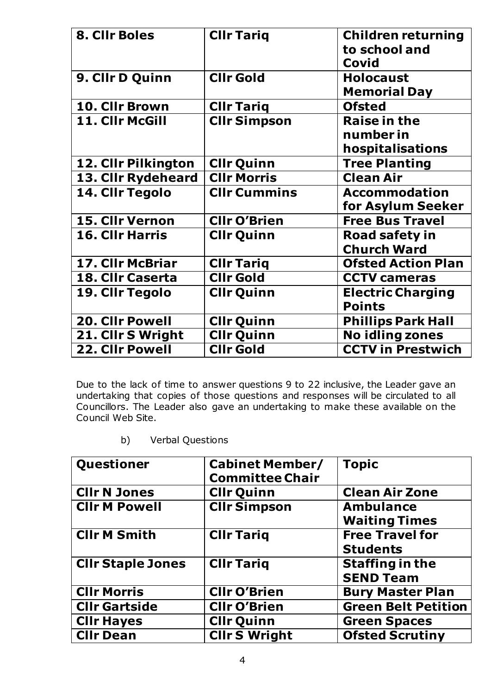| 8. Cllr Boles          | <b>Cllr Tariq</b>   | <b>Children returning</b><br>to school and<br>Covid  |
|------------------------|---------------------|------------------------------------------------------|
| 9. Cllr D Quinn        | <b>CIIr Gold</b>    | <b>Holocaust</b><br><b>Memorial Day</b>              |
| 10. Cllr Brown         | <b>Cllr Tariq</b>   | <b>Ofsted</b>                                        |
| 11. Cllr McGill        | <b>Cllr Simpson</b> | <b>Raise in the</b><br>number in<br>hospitalisations |
| 12. Cllr Pilkington    | <b>Cllr Quinn</b>   | <b>Tree Planting</b>                                 |
| 13. Cllr Rydeheard     | <b>CIIr Morris</b>  | <b>Clean Air</b>                                     |
| 14. Cllr Tegolo        | <b>CIIr Cummins</b> | <b>Accommodation</b><br>for Asylum Seeker            |
| 15. Cllr Vernon        | <b>Cllr O'Brien</b> | <b>Free Bus Travel</b>                               |
| <b>16. Cllr Harris</b> | <b>Cllr Quinn</b>   | <b>Road safety in</b><br><b>Church Ward</b>          |
| 17. Cllr McBriar       | <b>Cllr Tariq</b>   | <b>Ofsted Action Plan</b>                            |
| 18. Cllr Caserta       | <b>CIIr Gold</b>    | <b>CCTV cameras</b>                                  |
| 19. Cllr Tegolo        | <b>Cllr Quinn</b>   | <b>Electric Charging</b><br><b>Points</b>            |
| 20. Cllr Powell        | <b>Cllr Quinn</b>   | <b>Phillips Park Hall</b>                            |
| 21. Cllr S Wright      | <b>Cllr Quinn</b>   | <b>No idling zones</b>                               |
| <b>22. Cllr Powell</b> | <b>Clir Gold</b>    | <b>CCTV in Prestwich</b>                             |

Due to the lack of time to answer questions 9 to 22 inclusive, the Leader gave an undertaking that copies of those questions and responses will be circulated to all Councillors. The Leader also gave an undertaking to make these available on the Council Web Site.

b) Verbal Questions

| Questioner               | <b>Cabinet Member/</b><br><b>Committee Chair</b> | <b>Topic</b>                             |
|--------------------------|--------------------------------------------------|------------------------------------------|
| <b>Cllr N Jones</b>      | <b>Cllr Quinn</b>                                | <b>Clean Air Zone</b>                    |
| <b>Cllr M Powell</b>     | <b>Cllr Simpson</b>                              | <b>Ambulance</b><br><b>Waiting Times</b> |
| <b>Cllr M Smith</b>      | <b>CIIr Tariq</b>                                | <b>Free Travel for</b>                   |
|                          |                                                  | <b>Students</b>                          |
| <b>CIIr Staple Jones</b> | <b>Cllr Tariq</b>                                | <b>Staffing in the</b>                   |
|                          |                                                  | <b>SEND Team</b>                         |
| <b>CIIr Morris</b>       | <b>CIIr O'Brien</b>                              | <b>Bury Master Plan</b>                  |
| <b>CIIr Gartside</b>     | <b>Cllr O'Brien</b>                              | <b>Green Belt Petition</b>               |
| <b>Cllr Hayes</b>        | <b>Cllr Quinn</b>                                | <b>Green Spaces</b>                      |
| <b>Cllr Dean</b>         | <b>Cllr S Wright</b>                             | <b>Ofsted Scrutiny</b>                   |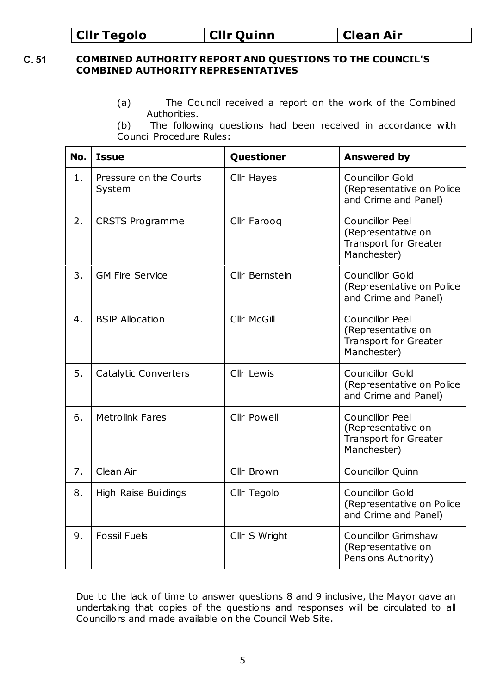# **Cllr Tegolo Cllr Quinn Clean Air**

# **C. 51 COMBINED AUTHORITY REPORT AND QUESTIONS TO THE COUNCIL'S COMBINED AUTHORITY REPRESENTATIVES**

- (a) The Council received a report on the work of the Combined Authorities.
- (b) The following questions had been received in accordance with Council Procedure Rules:

| No. | <b>Issue</b>                     | Questioner     | <b>Answered by</b>                                                                          |
|-----|----------------------------------|----------------|---------------------------------------------------------------------------------------------|
| 1.  | Pressure on the Courts<br>System | Cllr Hayes     | Councillor Gold<br>(Representative on Police<br>and Crime and Panel)                        |
| 2.  | <b>CRSTS Programme</b>           | Cllr Farooq    | Councillor Peel<br>(Representative on<br><b>Transport for Greater</b><br>Manchester)        |
| 3.  | <b>GM Fire Service</b>           | Cllr Bernstein | Councillor Gold<br>(Representative on Police<br>and Crime and Panel)                        |
| 4.  | <b>BSIP Allocation</b>           | Cllr McGill    | Councillor Peel<br>(Representative on<br><b>Transport for Greater</b><br>Manchester)        |
| 5.  | Catalytic Converters             | Cllr Lewis     | Councillor Gold<br>(Representative on Police<br>and Crime and Panel)                        |
| 6.  | <b>Metrolink Fares</b>           | Cllr Powell    | <b>Councillor Peel</b><br>(Representative on<br><b>Transport for Greater</b><br>Manchester) |
| 7.  | Clean Air                        | Cllr Brown     | Councillor Quinn                                                                            |
| 8.  | <b>High Raise Buildings</b>      | Cllr Tegolo    | Councillor Gold<br>(Representative on Police<br>and Crime and Panel)                        |
| 9.  | <b>Fossil Fuels</b>              | Cllr S Wright  | <b>Councillor Grimshaw</b><br>(Representative on<br>Pensions Authority)                     |

Due to the lack of time to answer questions 8 and 9 inclusive, the Mayor gave an undertaking that copies of the questions and responses will be circulated to all Councillors and made available on the Council Web Site.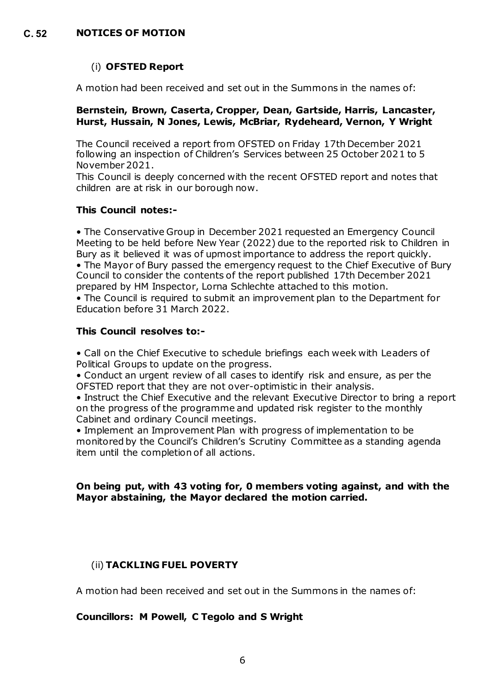# (i) **OFSTED Report**

A motion had been received and set out in the Summons in the names of:

## **Bernstein, Brown, Caserta, Cropper, Dean, Gartside, Harris, Lancaster, Hurst, Hussain, N Jones, Lewis, McBriar, Rydeheard, Vernon, Y Wright**

The Council received a report from OFSTED on Friday 17th December 2021 following an inspection of Children's Services between 25 October 2021 to 5 November 2021.

This Council is deeply concerned with the recent OFSTED report and notes that children are at risk in our borough now.

# **This Council notes:-**

• The Conservative Group in December 2021 requested an Emergency Council Meeting to be held before New Year (2022) due to the reported risk to Children in Bury as it believed it was of upmost importance to address the report quickly. • The Mayor of Bury passed the emergency request to the Chief Executive of Bury Council to consider the contents of the report published 17th December 2021 prepared by HM Inspector, Lorna Schlechte attached to this motion.

• The Council is required to submit an improvement plan to the Department for Education before 31 March 2022.

# **This Council resolves to:-**

• Call on the Chief Executive to schedule briefings each week with Leaders of Political Groups to update on the progress.

• Conduct an urgent review of all cases to identify risk and ensure, as per the OFSTED report that they are not over-optimistic in their analysis.

• Instruct the Chief Executive and the relevant Executive Director to bring a report on the progress of the programme and updated risk register to the monthly Cabinet and ordinary Council meetings.

• Implement an Improvement Plan with progress of implementation to be monitored by the Council's Children's Scrutiny Committee as a standing agenda item until the completion of all actions.

# **On being put, with 43 voting for, 0 members voting against, and with the Mayor abstaining, the Mayor declared the motion carried.**

# (ii) **TACKLING FUEL POVERTY**

A motion had been received and set out in the Summons in the names of:

# **Councillors: M Powell, C Tegolo and S Wright**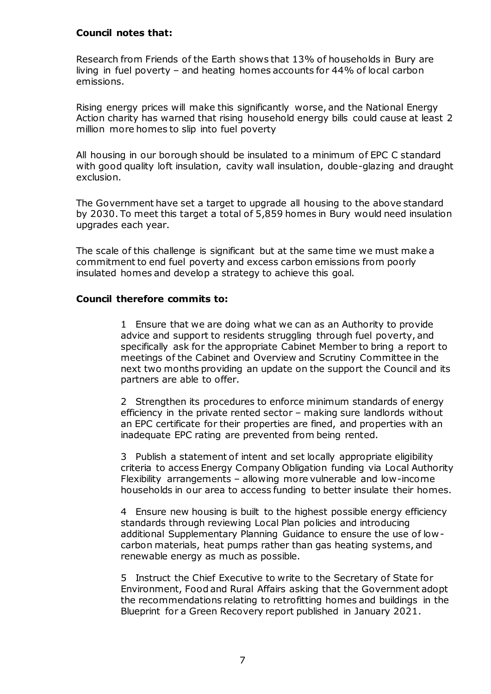## **Council notes that:**

Research from Friends of the Earth shows that 13% of households in Bury are living in fuel poverty – and heating homes accounts for 44% of local carbon emissions.

Rising energy prices will make this significantly worse, and the National Energy Action charity has warned that rising household energy bills could cause at least 2 million more homes to slip into fuel poverty

All housing in our borough should be insulated to a minimum of EPC C standard with good quality loft insulation, cavity wall insulation, double-glazing and draught exclusion.

The Government have set a target to upgrade all housing to the above standard by 2030. To meet this target a total of 5,859 homes in Bury would need insulation upgrades each year.

The scale of this challenge is significant but at the same time we must make a commitment to end fuel poverty and excess carbon emissions from poorly insulated homes and develop a strategy to achieve this goal.

## **Council therefore commits to:**

1 Ensure that we are doing what we can as an Authority to provide advice and support to residents struggling through fuel poverty, and specifically ask for the appropriate Cabinet Member to bring a report to meetings of the Cabinet and Overview and Scrutiny Committee in the next two months providing an update on the support the Council and its partners are able to offer.

2 Strengthen its procedures to enforce minimum standards of energy efficiency in the private rented sector – making sure landlords without an EPC certificate for their properties are fined, and properties with an inadequate EPC rating are prevented from being rented.

3 Publish a statement of intent and set locally appropriate eligibility criteria to access Energy Company Obligation funding via Local Authority Flexibility arrangements – allowing more vulnerable and low-income households in our area to access funding to better insulate their homes.

4 Ensure new housing is built to the highest possible energy efficiency standards through reviewing Local Plan policies and introducing additional Supplementary Planning Guidance to ensure the use of lowcarbon materials, heat pumps rather than gas heating systems, and renewable energy as much as possible.

5 Instruct the Chief Executive to write to the Secretary of State for Environment, Food and Rural Affairs asking that the Government adopt the recommendations relating to retrofitting homes and buildings in the Blueprint for a Green Recovery report published in January 2021.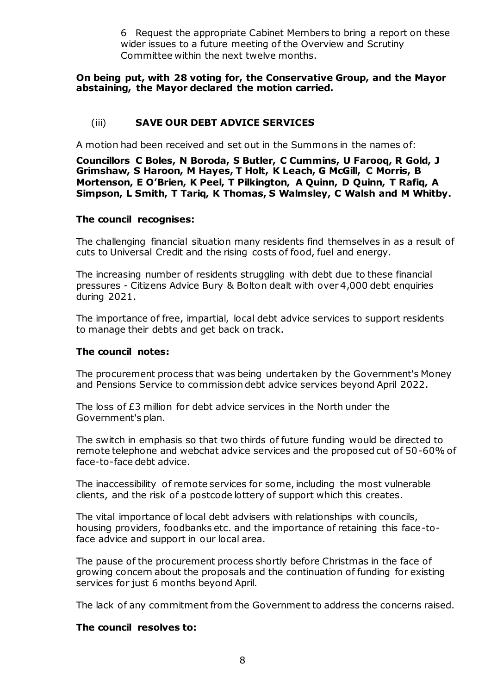6 Request the appropriate Cabinet Members to bring a report on these wider issues to a future meeting of the Overview and Scrutiny Committee within the next twelve months.

## **On being put, with 28 voting for, the Conservative Group, and the Mayor abstaining, the Mayor declared the motion carried.**

# (iii) **SAVE OUR DEBT ADVICE SERVICES**

A motion had been received and set out in the Summons in the names of:

**Councillors C Boles, N Boroda, S Butler, C Cummins, U Farooq, R Gold, J Grimshaw, S Haroon, M Hayes, T Holt, K Leach, G McGill, C Morris, B Mortenson, E O'Brien, K Peel, T Pilkington, A Quinn, D Quinn, T Rafiq, A Simpson, L Smith, T Tariq, K Thomas, S Walmsley, C Walsh and M Whitby.**

## **The council recognises:**

The challenging financial situation many residents find themselves in as a result of cuts to Universal Credit and the rising costs of food, fuel and energy.

The increasing number of residents struggling with debt due to these financial pressures - Citizens Advice Bury & Bolton dealt with over 4,000 debt enquiries during 2021.

The importance of free, impartial, local debt advice services to support residents to manage their debts and get back on track.

#### **The council notes:**

The procurement process that was being undertaken by the Government's Money and Pensions Service to commission debt advice services beyond April 2022.

The loss of £3 million for debt advice services in the North under the Government's plan.

The switch in emphasis so that two thirds of future funding would be directed to remote telephone and webchat advice services and the proposed cut of 50-60% of face-to-face debt advice.

The inaccessibility of remote services for some, including the most vulnerable clients, and the risk of a postcode lottery of support which this creates.

The vital importance of local debt advisers with relationships with councils, housing providers, foodbanks etc. and the importance of retaining this face-toface advice and support in our local area.

The pause of the procurement process shortly before Christmas in the face of growing concern about the proposals and the continuation of funding for existing services for just 6 months beyond April.

The lack of any commitment from the Government to address the concerns raised.

#### **The council resolves to:**